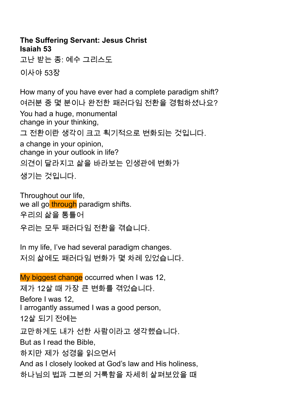## **The Suffering Servant: Jesus Christ Isaiah 53** 고난 받는 종: 예수 그리스도 이사야 53장

How many of you have ever had a complete paradigm shift? 여러분 중 몇 분이나 완전한 패러다임 전환을 경험하셨나요? You had a huge, monumental change in your thinking, 그 전환이란 생각이 크고 획기적으로 변화되는 것입니다. a change in your opinion, change in your outlook in life? 의견이 달라지고 삶을 바라보는 인생관에 변화가 생기는 것입니다.

Throughout our life, we all go through paradigm shifts. 우리의 삶을 통틀어 우리는 모두 패러다임 전환을 겪습니다.

In my life, I've had several paradigm changes. 저의 삶에도 패러다임 변화가 몇 차례 있었습니다.

My biggest change occurred when I was 12, 제가 12살 때 가장 큰 변화를 겪었습니다. Before I was 12, I arrogantly assumed I was a good person, 12살 되기 전에는 교만하게도 내가 선한 사람이라고 생각했습니다. But as I read the Bible, 하지만 제가 성경을 읽으면서 And as I closely looked at God's law and His holiness, 하나님의 법과 그분의 거룩함을 자세히 살펴보았을 때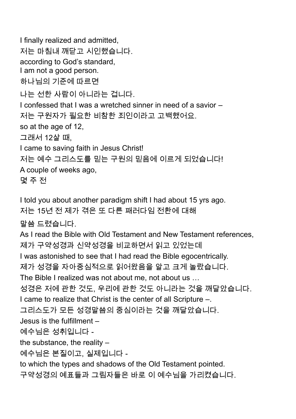I finally realized and admitted, 저는 마침내 깨닫고 시인했습니다. according to God's standard, I am not a good person. 하나님의 기준에 따르면 나는 선한 사람이 아니라는 겁니다. I confessed that I was a wretched sinner in need of a savior – 저는 구원자가 필요한 비참한 죄인이라고 고백했어요. so at the age of 12, 그래서 12살 때, I came to saving faith in Jesus Christ! 저는 예수 그리스도를 믿는 구원의 믿음에 이르게 되었습니다! A couple of weeks ago, 몇 주 전 I told you about another paradigm shift I had about 15 yrs ago. 저는 15년 전 제가 겪은 또 다른 패러다임 전환에 대해 말씀 드렸습니다. As I read the Bible with Old Testament and New Testament references, 제가 구약성경과 신약성경을 비교하면서 읽고 있었는데 I was astonished to see that I had read the Bible egocentrically. 제가 성경을 자아중심적으로 읽어왔음을 알고 크게 놀랐습니다. The Bible I realized was not about me, not about us … 성경은 저에 관한 것도, 우리에 관한 것도 아니라는 것을 깨달았습니다.

I came to realize that Christ is the center of all Scripture –.

그리스도가 모든 성경말씀의 중심이라는 것을 깨달았습니다.

Jesus is the fulfillment –

예수님은 성취입니다 -

the substance, the reality –

예수님은 본질이고, 실제입니다 -

to which the types and shadows of the Old Testament pointed.

구약성경의 예표들과 그림자들은 바로 이 예수님을 가리켰습니다.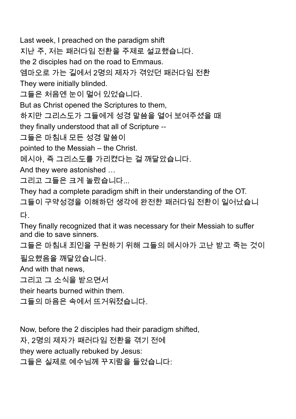Last week, I preached on the paradigm shift

지난 주, 저는 패러다임 전환을 주제로 설교했습니다.

the 2 disciples had on the road to Emmaus.

엠마오로 가는 길에서 2명의 제자가 겪었던 패러다임 전환

They were initially blinded.

그들은 처음엔 눈이 멀어 있었습니다.

But as Christ opened the Scriptures to them,

하지만 그리스도가 그들에게 성경 말씀을 열어 보여주셨을 때

they finally understood that all of Scripture --

그들은 마침내 모든 성경 말씀이

pointed to the Messiah – the Christ.

메시야, 즉 그리스도를 가리켰다는 걸 깨달았습니다.

And they were astonished …

그리고 그들은 크게 놀랐습니다...

They had a complete paradigm shift in their understanding of the OT. 그들이 구약성경을 이해하던 생각에 완전한 패러다임 전환이 일어났습니 다.

They finally recognized that it was necessary for their Messiah to suffer and die to save sinners.

그들은 마침내 죄인을 구원하기 위해 그들의 메시야가 고난 받고 죽는 것이

필요했음을 깨달았습니다.

And with that news,

그리고 그 소식을 받으면서

their hearts burned within them.

그들의 마음은 속에서 뜨거워졌습니다.

Now, before the 2 disciples had their paradigm shifted, 자, 2명의 제자가 패러다임 전환을 겪기 전에 they were actually rebuked by Jesus: 그들은 실제로 예수님께 꾸지람을 들었습니다: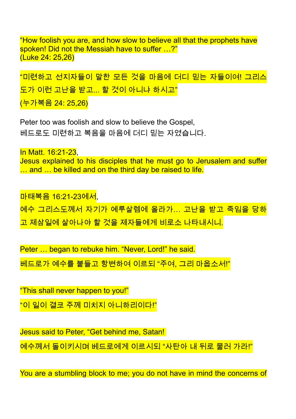"How foolish you are, and how slow to believe all that the prophets have spoken! Did not the Messiah have to suffer …?" (Luke 24: 25,26)

"미련하고 선지자들이 말한 모든 것을 마음에 더디 믿는 자들이여! 그리스 도가 이런 고난을 받고... 할 것이 아니냐 하시고" (누가복음 24: 25,26)

Peter too was foolish and slow to believe the Gospel, 베드로도 미련하고 복음을 마음에 더디 믿는 자였습니다.

In Matt. 16:21-23, Jesus explained to his disciples that he must go to Jerusalem and suffer ... and ... be killed and on the third day be raised to life.

마태복음 16:21-23에서, 예수 그리스도께서 자기가 예루살렘에 올라가… 고난을 받고 죽임을 당하 고 제삼일에 살아나야 할 것을 제자들에게 비로소 나타내시니.

Peter … began to rebuke him. "Never, Lord!" he said.

베드로가 예수를 붙들고 항변하여 이르되 "주여, 그리 마옵소서!"

"This shall never happen to you!"

"이 일이 결코 주께 미치지 아니하리이다!"

Jesus said to Peter, "Get behind me, Satan!

<mark>예수께서 돌이키시며 베드로에게 이르시되 "사탄아 내 뒤로 물러 가라!"</mark>

You are a stumbling block to me; you do not have in mind the concerns of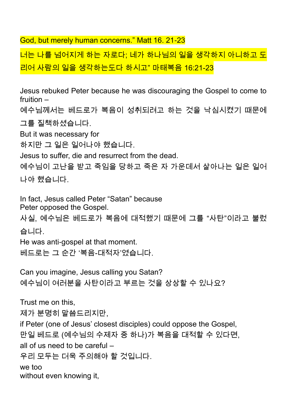God, but merely human concerns." Matt 16. 21-23

너는 나를 넘어지게 하는 자로다; 네가 하나님의 일을 생각하지 아니하고 도 리어 사람의 일을 생각하는도다 하시고" 마태복음 16:21-23

Jesus rebuked Peter because he was discouraging the Gospel to come to fruition –

예수님께서는 베드로가 복음이 성취되려고 하는 것을 낙심시켰기 때문에 그를 질책하셨습니다.

But it was necessary for

하지만 그 일은 일어나야 했습니다.

Jesus to suffer, die and resurrect from the dead.

예수님이 고난을 받고 죽임을 당하고 죽은 자 가운데서 살아나는 일은 일어 나야 했습니다.

In fact, Jesus called Peter "Satan" because Peter opposed the Gospel.

사실, 예수님은 베드로가 복음에 대적했기 때문에 그를 "사탄"이라고 불렀 습니다.

He was anti-gospel at that moment. 베드로는 그 순간 '복음-대적자'였습니다.

Can you imagine, Jesus calling you Satan? 예수님이 여러분을 사탄이라고 부르는 것을 상상할 수 있나요?

Trust me on this, 제가 분명히 말씀드리지만, if Peter (one of Jesus' closest disciples) could oppose the Gospel, 만일 베드로 (예수님의 수제자 중 하나)가 복음을 대적할 수 있다면, all of us need to be careful – 우리 모두는 더욱 주의해야 할 것입니다. we too without even knowing it,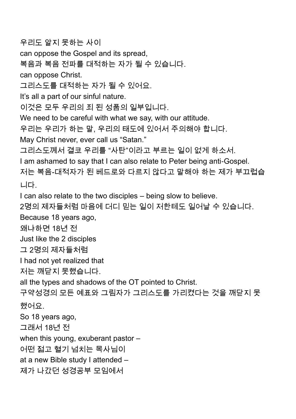우리도 알지 못하는 사이 can oppose the Gospel and its spread, 복음과 복음 전파를 대적하는 자가 될 수 있습니다. can oppose Christ. 그리스도를 대적하는 자가 될 수 있어요. It's all a part of our sinful nature. 이것은 모두 우리의 죄 된 성품의 일부입니다. We need to be careful with what we say, with our attitude. 우리는 우리가 하는 말, 우리의 태도에 있어서 주의해야 합니다. May Christ never, ever call us "Satan." 그리스도께서 결코 우리를 "사탄"이라고 부르는 일이 없게 하소서. I am ashamed to say that I can also relate to Peter being anti-Gospel. 저는 복음-대적자가 된 베드로와 다르지 않다고 말해야 하는 제가 부끄럽습 니다. I can also relate to the two disciples – being slow to believe. 2명의 제자들처럼 마음에 더디 믿는 일이 저한테도 일어날 수 있습니다. Because 18 years ago, 왜냐하면 18년 전 Just like the 2 disciples 그 2명의 제자들처럼 I had not yet realized that 저는 깨닫지 못했습니다. all the types and shadows of the OT pointed to Christ. 구약성경의 모든 예표와 그림자가 그리스도를 가리켰다는 것을 깨닫지 못 했어요. So 18 years ago, 그래서 18년 전 when this young, exuberant pastor – 어떤 젊고 혈기 넘치는 목사님이 at a new Bible study I attended – 제가 나갔던 성경공부 모임에서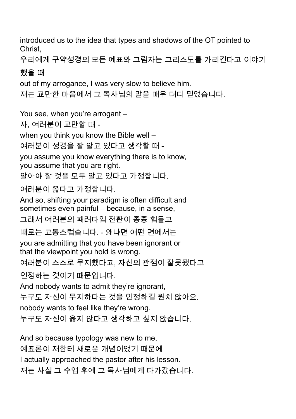introduced us to the idea that types and shadows of the OT pointed to Christ, 우리에게 구약성경의 모든 예표와 그림자는 그리스도를 가리킨다고 이야기 했을 때 out of my arrogance, I was very slow to believe him. 저는 교만한 마음에서 그 목사님의 말을 매우 더디 믿었습니다. You see, when you're arrogant -자, 여러분이 교만할 때 when you think you know the Bible well – 여러분이 성경을 잘 알고 있다고 생각할 때 you assume you know everything there is to know, you assume that you are right. 알아야 할 것을 모두 알고 있다고 가정합니다. 여러분이 옳다고 가정합니다. And so, shifting your paradigm is often difficult and sometimes even painful – because, in a sense, 그래서 여러분의 패러다임 전환이 종종 힘들고 때로는 고통스럽습니다. - 왜냐면 어떤 면에서는 you are admitting that you have been ignorant or that the viewpoint you hold is wrong. 여러분이 스스로 무지했다고, 자신의 관점이 잘못됐다고 인정하는 것이기 때문입니다. And nobody wants to admit they're ignorant, 누구도 자신이 무지하다는 것을 인정하길 원치 않아요. nobody wants to feel like they're wrong. 누구도 자신이 옳지 않다고 생각하고 싶지 않습니다. And so because typology was new to me, 예표론이 저한테 새로운 개념이었기 때문에

I actually approached the pastor after his lesson.

저는 사실 그 수업 후에 그 목사님에게 다가갔습니다.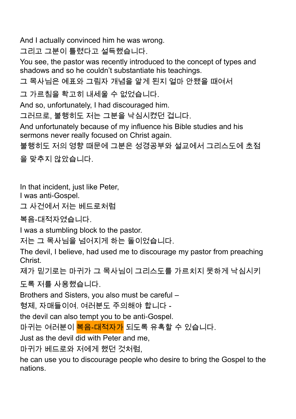And I actually convinced him he was wrong.

그리고 그분이 틀렸다고 설득했습니다.

You see, the pastor was recently introduced to the concept of types and shadows and so he couldn't substantiate his teachings.

그 목사님은 예표와 그림자 개념을 알게 된지 얼마 안됐을 때여서

그 가르침을 확고히 내세울 수 없었습니다.

And so, unfortunately, I had discouraged him.

그러므로, 불행히도 저는 그분을 낙심시켰던 겁니다.

And unfortunately because of my influence his Bible studies and his sermons never really focused on Christ again.

불행히도 저의 영향 때문에 그분은 성경공부와 설교에서 그리스도에 초점 을 맞추지 않았습니다.

In that incident, just like Peter,

I was anti-Gospel.

그 사건에서 저는 베드로처럼

복음-대적자였습니다.

I was a stumbling block to the pastor.

저는 그 목사님을 넘어지게 하는 돌이었습니다.

The devil, I believe, had used me to discourage my pastor from preaching Christ.

제가 믿기로는 마귀가 그 목사님이 그리스도를 가르치지 못하게 낙심시키

도록 저를 사용했습니다.

Brothers and Sisters, you also must be careful –

형제, 자매들이여. 여러분도 주의해야 합니다 -

the devil can also tempt you to be anti-Gospel.

마귀는 여러분이 <mark>복음-대적자가</mark> 되도록 유혹할 수 있습니다.

Just as the devil did with Peter and me,

마귀가 베드로와 저에게 했던 것처럼,

he can use you to discourage people who desire to bring the Gospel to the nations.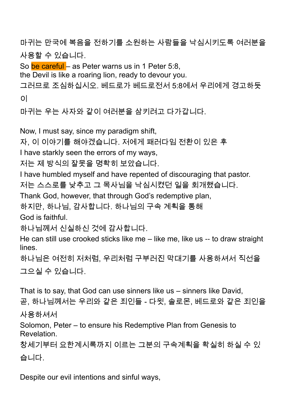마귀는 만국에 복음을 전하기를 소원하는 사람들을 낙심시키도록 여러분을 사용할 수 있습니다.

So be careful – as Peter warns us in 1 Peter 5:8,

the Devil is like a roaring lion, ready to devour you.

그러므로 조심하십시오. 베드로가 베드로전서 5:8에서 우리에게 경고하듯 이

마귀는 우는 사자와 같이 여러분을 삼키려고 다가갑니다.

Now, I must say, since my paradigm shift,

자, 이 이야기를 해야겠습니다. 저에게 패러다임 전환이 있은 후

I have starkly seen the errors of my ways,

저는 제 방식의 잘못을 명확히 보았습니다.

I have humbled myself and have repented of discouraging that pastor.

저는 스스로를 낮추고 그 목사님을 낙심시켰던 일을 회개했습니다.

Thank God, however, that through God's redemptive plan,

하지만, 하나님, 감사합니다. 하나님의 구속 계획을 통해

God is faithful.

하나님께서 신실하신 것에 감사합니다.

He can still use crooked sticks like me – like me, like us -- to draw straight lines.

하나님은 여전히 저처럼, 우리처럼 구부러진 막대기를 사용하셔서 직선을 그으실 수 있습니다.

That is to say, that God can use sinners like us – sinners like David, 곧, 하나님께서는 우리와 같은 죄인들 - 다윗, 솔로몬, 베드로와 같은 죄인을 사용하셔서 Solomon, Peter – to ensure his Redemptive Plan from Genesis to Revelation. 창세기부터 요한계시록까지 이르는 그분의 구속계획을 확실히 하실 수 있 습니다.

Despite our evil intentions and sinful ways,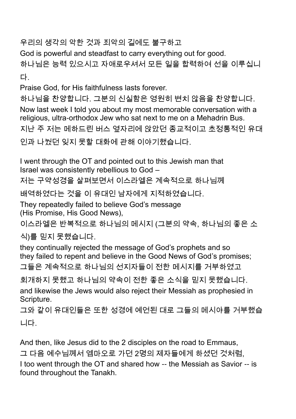우리의 생각의 악한 것과 죄악의 길에도 불구하고

God is powerful and steadfast to carry everything out for good.

하나님은 능력 있으시고 자애로우셔서 모든 일을 합력하여 선을 이루십니 다.

Praise God, for His faithfulness lasts forever.

하나님을 찬양합니다. 그분의 신실함은 영원히 변치 않음을 찬양합니다. Now last week I told you about my most memorable conversation with a religious, ultra-orthodox Jew who sat next to me on a Mehadrin Bus. 지난 주 저는 메하드린 버스 옆자리에 앉았던 종교적이고 초정통적인 유대 인과 나눴던 잊지 못할 대화에 관해 이야기했습니다.

I went through the OT and pointed out to this Jewish man that Israel was consistently rebellious to God –

저는 구약성경을 살펴보면서 이스라엘은 계속적으로 하나님께

배역하였다는 것을 이 유대인 남자에게 지적하였습니다.

They repeatedly failed to believe God's message (His Promise, His Good News),

이스라엘은 반복적으로 하나님의 메시지 (그분의 약속, 하나님의 좋은 소

식)를 믿지 못했습니다.

they continually rejected the message of God's prophets and so they failed to repent and believe in the Good News of God's promises; 그들은 계속적으로 하나님의 선지자들이 전한 메시지를 거부하였고

회개하지 못했고 하나님의 약속이 전한 좋은 소식을 믿지 못했습니다. and likewise the Jews would also reject their Messiah as prophesied in Scripture.

그와 같이 유대인들은 또한 성경에 예언된 대로 그들의 메시야를 거부했습 니다.

And then, like Jesus did to the 2 disciples on the road to Emmaus, 그 다음 예수님께서 엠마오로 가던 2명의 제자들에게 하셨던 것처럼, I too went through the OT and shared how -- the Messiah as Savior -- is found throughout the Tanakh.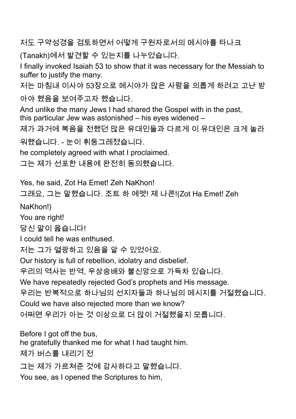저도 구약성경을 검토하면서 어떻게 구원자로서의 메시야를 타나크

(Tanakh)에서 발견할 수 있는지를 나누었습니다.

I finally invoked Isaiah 53 to show that it was necessary for the Messiah to suffer to justify the many.

저는 마침내 이사야 53장으로 메시야가 많은 사람을 의롭게 하려고 고난 받

아야 했음을 보여주고자 했습니다.

And unlike the many Jews I had shared the Gospel with in the past, this particular Jew was astonished – his eyes widened –

제가 과거에 복음을 전했던 많은 유대인들과 다르게 이 유대인은 크게 놀라

워했습니다. - 눈이 휘둥그레졌습니다.

he completely agreed with what I proclaimed.

그는 제가 선포한 내용에 완전히 동의했습니다.

Yes, he said, Zot Ha Emet! Zeh NaKhon!

그래요, 그는 말했습니다. 조트 하 에멧! 제 나콘!(Zot Ha Emet! Zeh

NaKhon!)

You are right!

당신 말이 옳습니다!

I could tell he was enthused.

저는 그가 열광하고 있음을 알 수 있었어요.

Our history is full of rebellion, idolatry and disbelief.

우리의 역사는 반역, 우상숭배와 불신앙으로 가득차 있습니다.

We have repeatedly rejected God's prophets and His message.

우리는 반복적으로 하나님의 선지자들과 하나님의 메시지를 거절했습니다. Could we have also rejected more than we know?

어쩌면 우리가 아는 것 이상으로 더 많이 거절했을지 모릅니다.

Before I got off the bus,

he gratefully thanked me for what I had taught him.

제가 버스를 내리기 전

그는 제가 가르쳐준 것에 감사하다고 말했습니다.

You see, as I opened the Scriptures to him,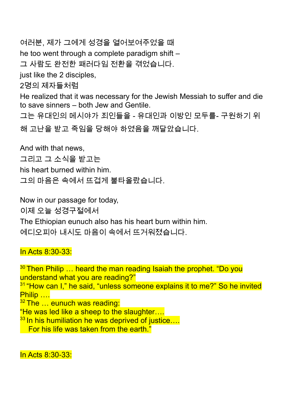여러분, 제가 그에게 성경을 열어보여주었을 때 he too went through a complete paradigm shift – 그 사람도 완전한 패러다임 전환을 겪었습니다. just like the 2 disciples, 2명의 제자들처럼 He realized that it was necessary for the Jewish Messiah to suffer and die to save sinners – both Jew and Gentile. 그는 유대인의 메시야가 죄인들을 - 유대인과 이방인 모두를- 구원하기 위 해 고난을 받고 죽임을 당해야 하였음을 깨달았습니다.

And with that news,

그리고 그 소식을 받고는

his heart burned within him.

그의 마음은 속에서 뜨겁게 불타올랐습니다.

Now in our passage for today,

이제 오늘 성경구절에서

The Ethiopian eunuch also has his heart burn within him.

에디오피아 내시도 마음이 속에서 뜨거워졌습니다.

In Acts 8:30-33:

<sup>30</sup> Then Philip ... heard the man reading Isaiah the prophet. "Do you understand what you are reading?" <sup>31</sup> "How can I," he said, "unless someone explains it to me?" So he invited Philip ….  $32$  The  $\dots$  eunuch was reading: "He was led like a sheep to the slaughter….  $33$  In his humiliation he was deprived of justice.... **For his life was taken from the earth.**"

In Acts 8:30-33: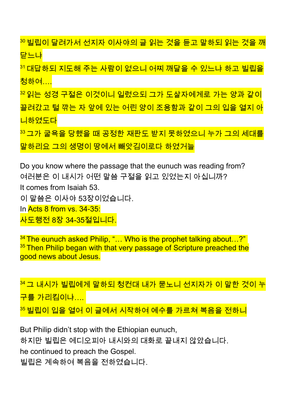$^{30}$  빌립이 달려가서 선지자 이사야의 글 읽는 것을 듣고 말하되 읽는 것을 깨 닫느냐

<sup>31</sup> 대답하되 지도해 주는 사람이 없으니 어찌 깨달을 수 있느냐 하고 빌립을 청하여….

<sup>32</sup> 읽는 성경 구절은 이것이니 일렀으되 그가 도살자에게로 가는 양과 같이 끌려갔고 털 깎는 자 앞에 있는 어린 양이 조용함과 같이 그의 입을 열지 아 니하였도다

<sup>33</sup> 그가 굴욕을 당했을 때 공정한 재판도 받지 못하였으니 누가 그의 세대를 말하리요 그의 생명이 땅에서 빼앗김이로다 하였거늘

Do you know where the passage that the eunuch was reading from? 여러분은 이 내시가 어떤 말씀 구절을 읽고 있었는지 아십니까? It comes from Isaiah 53. 이 말씀은 이사야 53장이었습니다. In Acts 8 from vs. 34-35: 사도행전 8장 34-35절입니다.

<sup>34</sup> The eunuch asked Philip, "... Who is the prophet talking about...?" <sup>35</sup> Then Philip began with that very passage of Scripture preached the good news about Jesus.

34 그 내시가 빌립에게 말하되 청컨대 내가 묻노니 선지자가 이 말한 것이 누 <mark>구를 가리킴이냐….</mark>  $35$  빌립이 입을 열어 이 글에서 시작하여 예수를 가르쳐 복음을 전하니

But Philip didn't stop with the Ethiopian eunuch, 하지만 빌립은 에디오피아 내시와의 대화로 끝내지 않았습니다. he continued to preach the Gospel. 빌립은 계속하여 복음을 전하였습니다.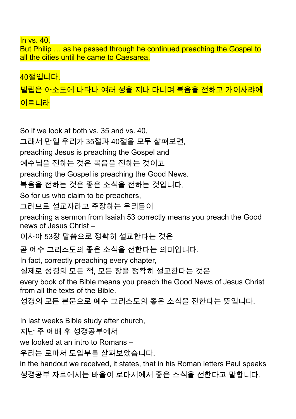In vs. 40,

But Philip … as he passed through he continued preaching the Gospel to all the cities until he came to Caesarea.

40절입니다. 빌립은 아소도에 나타나 여러 성을 지나 다니며 복음을 전하고 가이사랴에 이르니라

So if we look at both vs. 35 and vs. 40, 그래서 만일 우리가 35절과 40절을 모두 살펴보면, preaching Jesus is preaching the Gospel and 예수님을 전하는 것은 복음을 전하는 것이고 preaching the Gospel is preaching the Good News. 복음을 전하는 것은 좋은 소식을 전하는 것입니다. So for us who claim to be preachers, 그러므로 설교자라고 주장하는 우리들이 preaching a sermon from Isaiah 53 correctly means you preach the Good news of Jesus Christ – 이사야 53장 말씀으로 정확히 설교한다는 것은 곧 예수 그리스도의 좋은 소식을 전한다는 의미입니다. In fact, correctly preaching every chapter, 실제로 성경의 모든 책, 모든 장을 정확히 설교한다는 것은 every book of the Bible means you preach the Good News of Jesus Christ from all the texts of the Bible. 성경의 모든 본문으로 예수 그리스도의 좋은 소식을 전한다는 뜻입니다. In last weeks Bible study after church, 지난 주 예배 후 성경공부에서 we looked at an intro to Romans –

우리는 로마서 도입부를 살펴보았습니다.

in the handout we received, it states, that in his Roman letters Paul speaks 성경공부 자료에서는 바울이 로마서에서 좋은 소식을 전한다고 말합니다.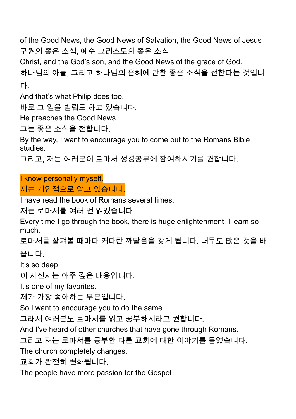of the Good News, the Good News of Salvation, the Good News of Jesus 구원의 좋은 소식, 예수 그리스도의 좋은 소식

Christ, and the God's son, and the Good News of the grace of God.

하나님의 아들, 그리고 하나님의 은혜에 관한 좋은 소식을 전한다는 것입니 다.

And that's what Philip does too.

바로 그 일을 빌립도 하고 있습니다.

He preaches the Good News.

그는 좋은 소식을 전합니다.

By the way, I want to encourage you to come out to the Romans Bible studies.

그리고, 저는 여러분이 로마서 성경공부에 참여하시기를 권합니다.

I know personally myself.

저는 개인적으로 알고 있습니다.

I have read the book of Romans several times.

저는 로마서를 여러 번 읽었습니다.

Every time I go through the book, there is huge enlightenment, I learn so much.

로마서를 살펴볼 때마다 커다란 깨달음을 갖게 됩니다. 너무도 많은 것을 배 웁니다.

It's so deep.

이 서신서는 아주 깊은 내용입니다.

It's one of my favorites.

제가 가장 좋아하는 부분입니다.

So I want to encourage you to do the same.

그래서 여러분도 로마서를 읽고 공부하시라고 권합니다.

And I've heard of other churches that have gone through Romans.

그리고 저는 로마서를 공부한 다른 교회에 대한 이야기를 들었습니다.

The church completely changes.

교회가 완전히 변화됩니다.

The people have more passion for the Gospel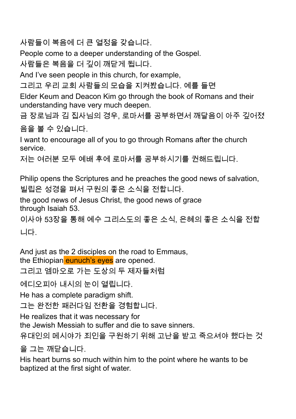사람들이 복음에 더 큰 열정을 갖습니다.

People come to a deeper understanding of the Gospel.

사람들은 복음을 더 깊이 깨닫게 됩니다.

And I've seen people in this church, for example,

그리고 우리 교회 사람들의 모습을 지켜봤습니다. 예를 들면

Elder Keum and Deacon Kim go through the book of Romans and their understanding have very much deepen.

금 장로님과 김 집사님의 경우, 로마서를 공부하면서 깨달음이 아주 깊어졌

## 음을 볼 수 있습니다.

I want to encourage all of you to go through Romans after the church service.

저는 여러분 모두 예배 후에 로마서를 공부하시기를 권해드립니다.

Philip opens the Scriptures and he preaches the good news of salvation, 빌립은 성경을 펴서 구원의 좋은 소식을 전합니다.

the good news of Jesus Christ, the good news of grace through Isaiah 53.

이사야 53장을 통해 예수 그리스도의 좋은 소식, 은혜의 좋은 소식을 전합 니다.

And just as the 2 disciples on the road to Emmaus,

the Ethiopian eunuch's eyes are opened.

그리고 엠마오로 가는 도상의 두 제자들처럼

에디오피아 내시의 눈이 열립니다.

He has a complete paradigm shift.

그는 완전한 패러다임 전환을 경험합니다.

He realizes that it was necessary for

the Jewish Messiah to suffer and die to save sinners.

유대인의 메시야가 죄인을 구원하기 위해 고난을 받고 죽으셔야 했다는 것

을 그는 깨닫습니다.

His heart burns so much within him to the point where he wants to be baptized at the first sight of water.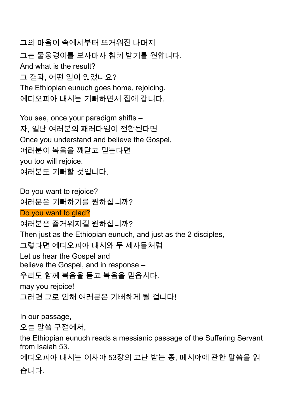그의 마음이 속에서부터 뜨거워진 나머지 그는 물웅덩이를 보자마자 침례 받기를 원합니다. And what is the result? 그 결과, 어떤 일이 있었나요? The Ethiopian eunuch goes home, rejoicing. 에디오피아 내시는 기뻐하면서 집에 갑니다.

You see, once your paradigm shifts – 자, 일단 여러분의 패러다임이 전환된다면 Once you understand and believe the Gospel, 여러분이 복음을 깨닫고 믿는다면 you too will rejoice. 여러분도 기뻐할 것입니다.

Do you want to rejoice? 여러분은 기뻐하기를 원하십니까? Do you want to glad? 여러분은 즐거워지길 원하십니까? Then just as the Ethiopian eunuch, and just as the 2 disciples, 그렇다면 에디오피아 내시와 두 제자들처럼 Let us hear the Gospel and believe the Gospel, and in response – 우리도 함께 복음을 듣고 복음을 믿읍시다. may you rejoice! 그러면 그로 인해 여러분은 기뻐하게 될 겁니다!

In our passage,

오늘 말씀 구절에서,

the Ethiopian eunuch reads a messianic passage of the Suffering Servant from Isaiah 53.

에디오피아 내시는 이사야 53장의 고난 받는 종, 메시야에 관한 말씀을 읽 습니다.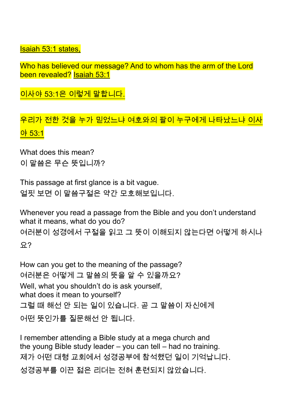Isaiah 53:1 states,

Who has believed our message? And to whom has the arm of the Lord been revealed? Isaiah 53:1

이사야 53:1은 이렇게 말합니다.

우리가 전한 것을 누가 믿었느냐 여호와의 팔이 누구에게 나타났느냐 이사 야 53:1

What does this mean? 이 말씀은 무슨 뜻입니까?

This passage at first glance is a bit vague. 얼핏 보면 이 말씀구절은 약간 모호해보입니다.

Whenever you read a passage from the Bible and you don't understand what it means, what do you do?

여러분이 성경에서 구절을 읽고 그 뜻이 이해되지 않는다면 어떻게 하시나 요?

How can you get to the meaning of the passage? 여러분은 어떻게 그 말씀의 뜻을 알 수 있을까요? Well, what you shouldn't do is ask yourself, what does it mean to yourself? 그럴 때 해선 안 되는 일이 있습니다. 곧 그 말씀이 자신에게 어떤 뜻인가를 질문해선 안 됩니다.

I remember attending a Bible study at a mega church and the young Bible study leader – you can tell – had no training. 제가 어떤 대형 교회에서 성경공부에 참석했던 일이 기억납니다. 성경공부를 이끈 젊은 리더는 전혀 훈련되지 않았습니다.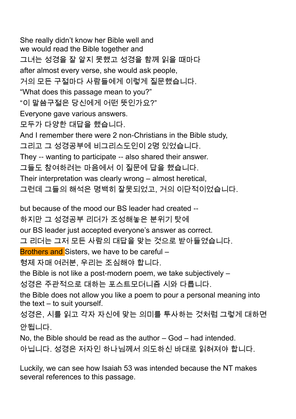She really didn't know her Bible well and we would read the Bible together and 그녀는 성경을 잘 알지 못했고 성경을 함께 읽을 때마다 after almost every verse, she would ask people, 거의 모든 구절마다 사람들에게 이렇게 질문했습니다. "What does this passage mean to you?" "이 말씀구절은 당신에게 어떤 뜻인가요?" Everyone gave various answers. 모두가 다양한 대답을 했습니다. And I remember there were 2 non-Christians in the Bible study, 그리고 그 성경공부에 비그리스도인이 2명 있었습니다. They -- wanting to participate -- also shared their answer. 그들도 참여하려는 마음에서 이 질문에 답을 했습니다. Their interpretation was clearly wrong – almost heretical, 그런데 그들의 해석은 명백히 잘못되었고, 거의 이단적이었습니다.

but because of the mood our BS leader had created -- 하지만 그 성경공부 리더가 조성해놓은 분위기 탓에 our BS leader just accepted everyone's answer as correct. 그 리더는 그저 모든 사람의 대답을 맞는 것으로 받아들였습니다. Brothers and Sisters, we have to be careful – 형제 자매 여러분, 우리는 조심해야 합니다. the Bible is not like a post-modern poem, we take subjectively – 성경은 주관적으로 대하는 포스트모더니즘 시와 다릅니다. the Bible does not allow you like a poem to pour a personal meaning into the text – to suit yourself. 성경은, 시를 읽고 각자 자신에 맞는 의미를 투사하는 것처럼 그렇게 대하면 안됩니다.

No, the Bible should be read as the author – God – had intended. 아닙니다. 성경은 저자인 하나님께서 의도하신 바대로 읽혀져야 합니다.

Luckily, we can see how Isaiah 53 was intended because the NT makes several references to this passage.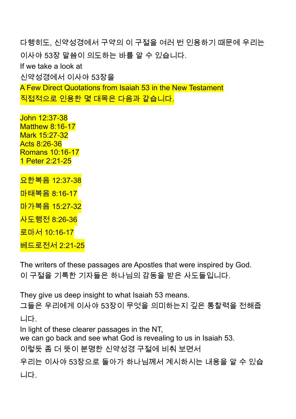다행히도, 신약성경에서 구약의 이 구절을 여러 번 인용하기 때문에 우리는 이사야 53장 말씀이 의도하는 바를 알 수 있습니다. If we take a look at 신약성경에서 이사야 53장을 A Few Direct Quotations from Isaiah 53 in the New Testament 직접적으로 인용한 몇 대목은 다음과 같습니다.

John 12:37-38 Matthew 8:16-17 Mark 15:27-32 Acts 8:26-36 Romans 10:16-17 1 Peter 2:21-25

요한복음 12:37-38 마태복음 8:16-17 마가복음 15:27-32 사도행전 8:26-36 로마서 10:16-17 베드로전서 2:21-25

The writers of these passages are Apostles that were inspired by God. 이 구절을 기록한 기자들은 하나님의 감동을 받은 사도들입니다.

They give us deep insight to what Isaiah 53 means.

그들은 우리에게 이사야 53장이 무엇을 의미하는지 깊은 통찰력을 전해줍 니다.

In light of these clearer passages in the NT,

we can go back and see what God is revealing to us in Isaiah 53.

이렇듯 좀 더 뜻이 분명한 신약성경 구절에 비춰 보면서

우리는 이사야 53장으로 돌아가 하나님께서 계시하시는 내용을 알 수 있습 니다.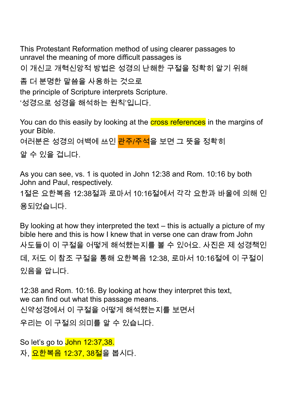This Protestant Reformation method of using clearer passages to unravel the meaning of more difficult passages is 이 개신교 개혁신앙적 방법은 성경의 난해한 구절을 정확히 알기 위해 좀 더 분명한 말씀을 사용하는 것으로

the principle of Scripture interprets Scripture.

'성경으로 성경을 해석하는 원칙'입니다.

You can do this easily by looking at the **cross references** in the margins of your Bible.

여러분은 성경의 여백에 쓰인 <mark>관주/주석</mark>을 보면 그 뜻을 정확히

알 수 있을 겁니다.

As you can see, vs. 1 is quoted in John 12:38 and Rom. 10:16 by both John and Paul, respectively.

1절은 요한복음 12:38절과 로마서 10:16절에서 각각 요한과 바울에 의해 인 용되었습니다.

By looking at how they interpreted the text – this is actually a picture of my bible here and this is how I knew that in verse one can draw from John 사도들이 이 구절을 어떻게 해석했는지를 볼 수 있어요. 사진은 제 성경책인 데, 저도 이 참조 구절을 통해 요한복음 12:38, 로마서 10:16절에 이 구절이 있음을 압니다.

12:38 and Rom. 10:16. By looking at how they interpret this text, we can find out what this passage means. 신약성경에서 이 구절을 어떻게 해석했는지를 보면서 우리는 이 구절의 의미를 알 수 있습니다.

So let's go to John 12:37,38. 자, <mark>요한복음 12:37, 38절</mark>을 봅시다.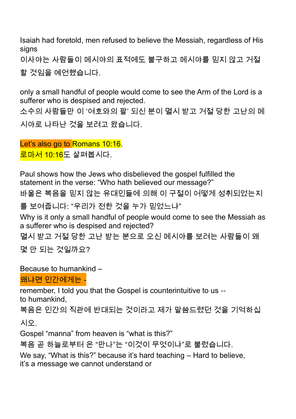Isaiah had foretold, men refused to believe the Messiah, regardless of His signs

이사야는 사람들이 메시야의 표적에도 불구하고 메시야를 믿지 않고 거절 할 것임을 예언했습니다.

only a small handful of people would come to see the Arm of the Lord is a sufferer who is despised and rejected.

소수의 사람들만 이 '여호와의 팔' 되신 분이 멸시 받고 거절 당한 고난의 메 시야로 나타난 것을 보려고 왔습니다.

Let's also go to Romans 10:16. <mark>로마서 10:16</mark>도 살펴봅시다.

Paul shows how the Jews who disbelieved the gospel fulfilled the statement in the verse: "Who hath believed our message?"

바울은 복음을 믿지 않는 유대인들에 의해 이 구절이 어떻게 성취되었는지

를 보여줍니다: "우리가 전한 것을 누가 믿었느냐"

Why is it only a small handful of people would come to see the Messiah as a sufferer who is despised and rejected?

멸시 받고 거절 당한 고난 받는 분으로 오신 메시야를 보려는 사람들이 왜 몇 안 되는 것일까요?

Because to humankind –

## 왜냐면 인간에게는 -

remember, I told you that the Gospel is counterintuitive to us --

to humankind,

복음은 인간의 직관에 반대되는 것이라고 제가 말씀드렸던 것을 기억하십

시오.

Gospel "manna" from heaven is "what is this?"

복음 곧 하늘로부터 온 "만나"는 "이것이 무엇이냐"로 불렀습니다.

We say, "What is this?" because it's hard teaching – Hard to believe, it's a message we cannot understand or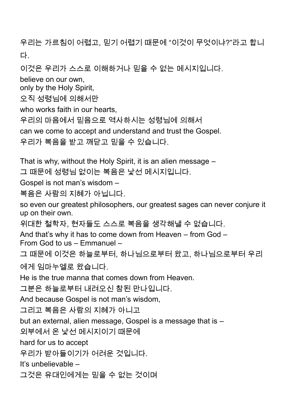우리는 가르침이 어렵고, 믿기 어렵기 때문에 "이것이 무엇이냐?"라고 합니 다.

이것은 우리가 스스로 이해하거나 믿을 수 없는 메시지입니다. believe on our own, only by the Holy Spirit, 오직 성령님에 의해서만 who works faith in our hearts, 우리의 마음에서 믿음으로 역사하시는 성령님에 의해서 can we come to accept and understand and trust the Gospel. 우리가 복음을 받고 깨닫고 믿을 수 있습니다.

That is why, without the Holy Spirit, it is an alien message –

그 때문에 성령님 없이는 복음은 낯선 메시지입니다.

Gospel is not man's wisdom –

복음은 사람의 지혜가 아닙니다.

so even our greatest philosophers, our greatest sages can never conjure it up on their own.

위대한 철학자, 현자들도 스스로 복음을 생각해낼 수 없습니다.

And that's why it has to come down from Heaven – from God –

From God to us – Emmanuel –

그 때문에 이것은 하늘로부터, 하나님으로부터 왔고, 하나님으로부터 우리

에게 임마누엘로 왔습니다.

He is the true manna that comes down from Heaven.

그분은 하늘로부터 내려오신 참된 만나입니다.

And because Gospel is not man's wisdom,

그리고 복음은 사람의 지혜가 아니고

but an external, alien message, Gospel is a message that is –

외부에서 온 낯선 메시지이기 때문에

hard for us to accept

우리가 받아들이기가 어려운 것입니다.

It's unbelievable –

그것은 유대인에게는 믿을 수 없는 것이며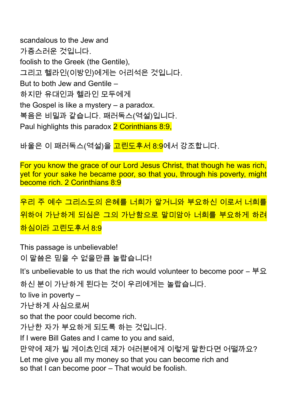scandalous to the Jew and 가증스러운 것입니다. foolish to the Greek (the Gentile), 그리고 헬라인(이방인)에게는 어리석은 것입니다. But to both Jew and Gentile – 하지만 유대인과 헬라인 모두에게 the Gospel is like a mystery – a paradox. 복음은 비밀과 같습니다. 패러독스(역설)입니다. Paul highlights this paradox 2 Corinthians 8:9,

바울은 이 패러독스(역설)을 <mark>고린도후서 8:9</mark>에서 강조합니다.

For you know the grace of our Lord Jesus Christ, that though he was rich, yet for your sake he became poor, so that you, through his poverty, might become rich. 2 Corinthians 8:9

우리 주 예수 그리스도의 은혜를 너희가 알거니와 부요하신 이로서 너희를 위하여 가난하게 되심은 그의 가난함으로 말미암아 너희를 부요하게 하려 하심이라 고린도후서 8:9

This passage is unbelievable! 이 말씀은 믿을 수 없을만큼 놀랍습니다!

It's unbelievable to us that the rich would volunteer to become poor  $- \not\in \mathfrak{L}$ 

하신 분이 가난하게 된다는 것이 우리에게는 놀랍습니다.

to live in poverty –

가난하게 사심으로써

so that the poor could become rich.

가난한 자가 부요하게 되도록 하는 것입니다.

If I were Bill Gates and I came to you and said,

만약에 제가 빌 게이츠인데 제가 여러분에게 이렇게 말한다면 어떨까요?

Let me give you all my money so that you can become rich and so that I can become poor – That would be foolish.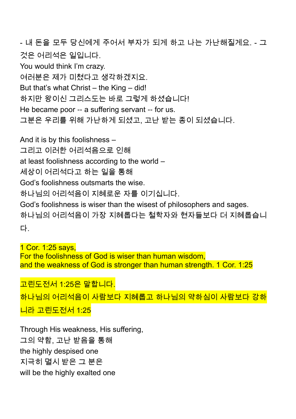- 내 돈을 모두 당신에게 주어서 부자가 되게 하고 나는 가난해질게요. - 그 것은 어리석은 일입니다. You would think I'm crazy. 여러분은 제가 미쳤다고 생각하겠지요. But that's what Christ – the King – did! 하지만 왕이신 그리스도는 바로 그렇게 하셨습니다! He became poor -- a suffering servant -- for us. 그분은 우리를 위해 가난하게 되셨고, 고난 받는 종이 되셨습니다. And it is by this foolishness – 그리고 이러한 어리석음으로 인해 at least foolishness according to the world – 세상이 어리석다고 하는 일을 통해 God's foolishness outsmarts the wise. 하나님의 어리석음이 지혜로운 자를 이기십니다. God's foolishness is wiser than the wisest of philosophers and sages. 하나님의 어리석음이 가장 지혜롭다는 철학자와 현자들보다 더 지혜롭습니

다.

1 Cor. 1:25 says, For the foolishness of God is wiser than human wisdom, and the weakness of God is stronger than human strength. 1 Cor. 1:25

고린도전서 1:25은 말합니다. 하나님의 어리석음이 사람보다 지혜롭고 하나님의 약하심이 사람보다 강하 니라 고린도전서 1:25

Through His weakness, His suffering, 그의 약함, 고난 받음을 통해 the highly despised one 지극히 멸시 받은 그 분은 will be the highly exalted one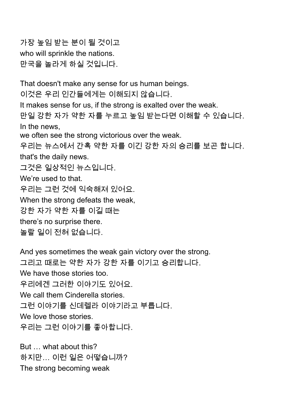가장 높임 받는 분이 될 것이고 who will sprinkle the nations.

만국을 놀라게 하실 것입니다.

That doesn't make any sense for us human beings. 이것은 우리 인간들에게는 이해되지 않습니다. It makes sense for us, if the strong is exalted over the weak. 만일 강한 자가 약한 자를 누르고 높임 받는다면 이해할 수 있습니다. In the news, we often see the strong victorious over the weak. 우리는 뉴스에서 간혹 약한 자를 이긴 강한 자의 승리를 보곤 합니다. that's the daily news. 그것은 일상적인 뉴스입니다. We're used to that. 우리는 그런 것에 익숙해져 있어요. When the strong defeats the weak, 강한 자가 약한 자를 이길 때는 there's no surprise there. 놀랄 일이 전혀 없습니다.

And yes sometimes the weak gain victory over the strong. 그리고 때로는 약한 자가 강한 자를 이기고 승리합니다. We have those stories too. 우리에겐 그러한 이야기도 있어요. We call them Cinderella stories. 그런 이야기를 신데렐라 이야기라고 부릅니다. We love those stories. 우리는 그런 이야기를 좋아합니다.

But … what about this? 하지만… 이런 일은 어떻습니까? The strong becoming weak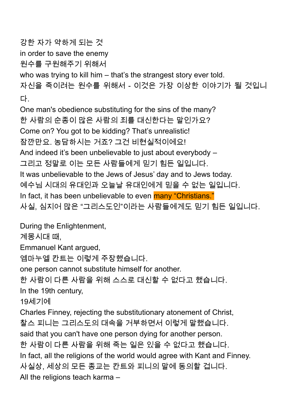강한 자가 약하게 되는 것 in order to save the enemy 원수를 구원해주기 위해서 who was trying to kill him – that's the strangest story ever told. 자신을 죽이려는 원수를 위해서 - 이것은 가장 이상한 이야기가 될 것입니 다. One man's obedience substituting for the sins of the many? 한 사람의 순종이 많은 사람의 죄를 대신한다는 말인가요? Come on? You got to be kidding? That's unrealistic! 잠깐만요. 농담하시는 거죠? 그건 비현실적이에요! And indeed it's been unbelievable to just about everybody – 그리고 정말로 이는 모든 사람들에게 믿기 힘든 일입니다. It was unbelievable to the Jews of Jesus' day and to Jews today. 예수님 시대의 유대인과 오늘날 유대인에게 믿을 수 없는 일입니다. In fact, it has been unbelievable to even **many "Christians."** 사실, 심지어 많은 "그리스도인"이라는 사람들에게도 믿기 힘든 일입니다. During the Enlightenment, 계몽시대 때, Emmanuel Kant argued, 엠마누엘 칸트는 이렇게 주장했습니다. one person cannot substitute himself for another. 한 사람이 다른 사람을 위해 스스로 대신할 수 없다고 했습니다. In the 19th century, 19세기에

Charles Finney, rejecting the substitutionary atonement of Christ, 찰스 피니는 그리스도의 대속을 거부하면서 이렇게 말했습니다.

said that you can't have one person dying for another person.

한 사람이 다른 사람을 위해 죽는 일은 있을 수 없다고 했습니다.

In fact, all the religions of the world would agree with Kant and Finney.

사실상, 세상의 모든 종교는 칸트와 피니의 말에 동의할 겁니다.

All the religions teach karma –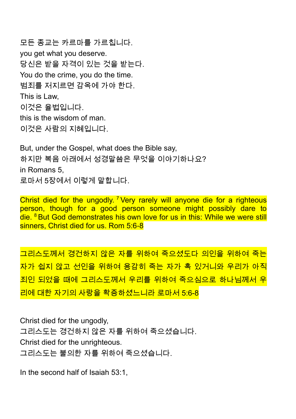모든 종교는 카르마를 가르칩니다. you get what you deserve. 당신은 받을 자격이 있는 것을 받는다. You do the crime, you do the time. 범죄를 저지르면 감옥에 가야 한다. This is Law, 이것은 율법입니다. this is the wisdom of man. 이것은 사람의 지혜입니다.

But, under the Gospel, what does the Bible say, 하지만 복음 아래에서 성경말씀은 무엇을 이야기하나요? in Romans 5, 로마서 5장에서 이렇게 말합니다.

Christ died for the ungodly. <sup>7</sup> Very rarely will anyone die for a righteous person, though for a good person someone might possibly dare to die. <sup>8</sup> But God demonstrates his own love for us in this: While we were still sinners, Christ died for us. Rom 5:6-8

그리스도께서 경건하지 않은 자를 위하여 죽으셨도다 의인을 위하여 죽는 자가 쉽지 않고 선인을 위하여 용감히 죽는 자가 혹 있거니와 우리가 아직 죄인 되었을 때에 그리스도께서 우리를 위하여 죽으심으로 하나님께서 우 리에 대한 자기의 사랑을 확증하셨느니라 로마서 5:6-8

Christ died for the ungodly, 그리스도는 경건하지 않은 자를 위하여 죽으셨습니다. Christ died for the unrighteous. 그리스도는 불의한 자를 위하여 죽으셨습니다.

In the second half of Isaiah 53:1,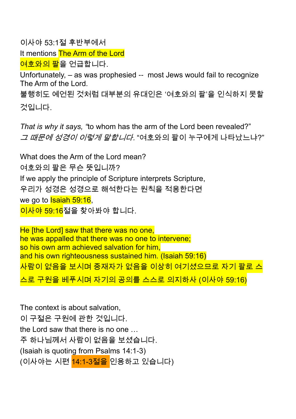이사야 53:1절 후반부에서

It mentions The Arm of the Lord

<mark>여호와의 팔</mark>을 언급합니다.

Unfortunately, – as was prophesied -- most Jews would fail to recognize The Arm of the Lord*.* 

불행히도 예언된 것처럼 대부분의 유대인은 '여호와의 팔'을 인식하지 못할 것입니다.

*That is why it says, "*to whom has the arm of the Lord been revealed?" *그 때문에 성경이 이렇게 말합니다.* "여호와의 팔이 누구에게 나타났느냐?"

What does the Arm of the Lord mean? 여호와의 팔은 무슨 뜻입니까? If we apply the principle of Scripture interprets Scripture, 우리가 성경은 성경으로 해석한다는 원칙을 적용한다면 we go to **Isaiah 59:16**, <mark>이사야 59:16</mark>절을 찾아봐야 합니다.

He [the Lord] saw that there was no one, he was appalled that there was no one to intervene; so his own arm achieved salvation for him, and his own righteousness sustained him. (Isaiah 59:16) 사람이 없음을 보시며 중재자가 없음을 이상히 여기셨으므로 자기 팔로 스 스로 구원을 베푸시며 자기의 공의를 스스로 의지하사 (이사야 59:16)

The context is about salvation, 이 구절은 구원에 관한 것입니다. the Lord saw that there is no one … 주 하나님께서 사람이 없음을 보셨습니다. (Isaiah is quoting from Psalms 14:1-3) (이사야는 시편 14:1-3절을 인용하고 있습니다)